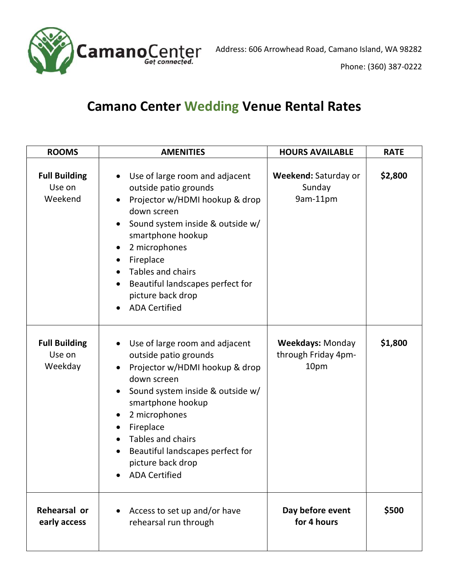

## Camano Center Wedding Venue Rental Rates

| <b>ROOMS</b>                              | <b>AMENITIES</b>                                                                                                                                                                                                                                                                                                                                                                           | <b>HOURS AVAILABLE</b>                                 | <b>RATE</b> |
|-------------------------------------------|--------------------------------------------------------------------------------------------------------------------------------------------------------------------------------------------------------------------------------------------------------------------------------------------------------------------------------------------------------------------------------------------|--------------------------------------------------------|-------------|
| <b>Full Building</b><br>Use on<br>Weekend | Use of large room and adjacent<br>$\bullet$<br>outside patio grounds<br>Projector w/HDMI hookup & drop<br>$\bullet$<br>down screen<br>Sound system inside & outside w/<br>$\bullet$<br>smartphone hookup<br>2 microphones<br>$\bullet$<br>Fireplace<br>$\bullet$<br>Tables and chairs<br>Beautiful landscapes perfect for<br>$\bullet$<br>picture back drop<br><b>ADA Certified</b>        | Weekend: Saturday or<br>Sunday<br>9am-11pm             | \$2,800     |
| <b>Full Building</b><br>Use on<br>Weekday | Use of large room and adjacent<br>$\bullet$<br>outside patio grounds<br>Projector w/HDMI hookup & drop<br>$\bullet$<br>down screen<br>Sound system inside & outside w/<br>$\bullet$<br>smartphone hookup<br>2 microphones<br>$\bullet$<br>Fireplace<br>$\bullet$<br><b>Tables and chairs</b><br>Beautiful landscapes perfect for<br>$\bullet$<br>picture back drop<br><b>ADA Certified</b> | <b>Weekdays: Monday</b><br>through Friday 4pm-<br>10pm | \$1,800     |
| Rehearsal or<br>early access              | Access to set up and/or have<br>rehearsal run through                                                                                                                                                                                                                                                                                                                                      | Day before event<br>for 4 hours                        | \$500       |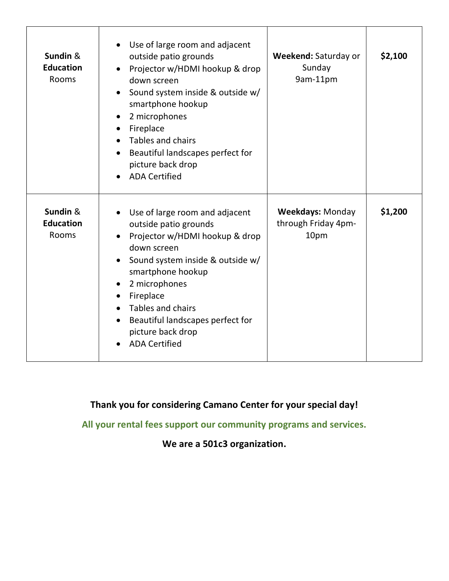| Sundin &<br><b>Education</b><br><b>Rooms</b> | Use of large room and adjacent<br>outside patio grounds<br>Projector w/HDMI hookup & drop<br>down screen<br>Sound system inside & outside w/<br>smartphone hookup<br>2 microphones<br>Fireplace<br>Tables and chairs<br>Beautiful landscapes perfect for<br>picture back drop<br><b>ADA Certified</b>              | Weekend: Saturday or<br>Sunday<br>9am-11pm             | \$2,100 |
|----------------------------------------------|--------------------------------------------------------------------------------------------------------------------------------------------------------------------------------------------------------------------------------------------------------------------------------------------------------------------|--------------------------------------------------------|---------|
| Sundin &<br><b>Education</b><br><b>Rooms</b> | Use of large room and adjacent<br>outside patio grounds<br>Projector w/HDMI hookup & drop<br>down screen<br>Sound system inside & outside w/<br>smartphone hookup<br>2 microphones<br>Fireplace<br>$\bullet$<br>Tables and chairs<br>Beautiful landscapes perfect for<br>picture back drop<br><b>ADA Certified</b> | <b>Weekdays: Monday</b><br>through Friday 4pm-<br>10pm | \$1,200 |

Thank you for considering Camano Center for your special day!

All your rental fees support our community programs and services.

We are a 501c3 organization.